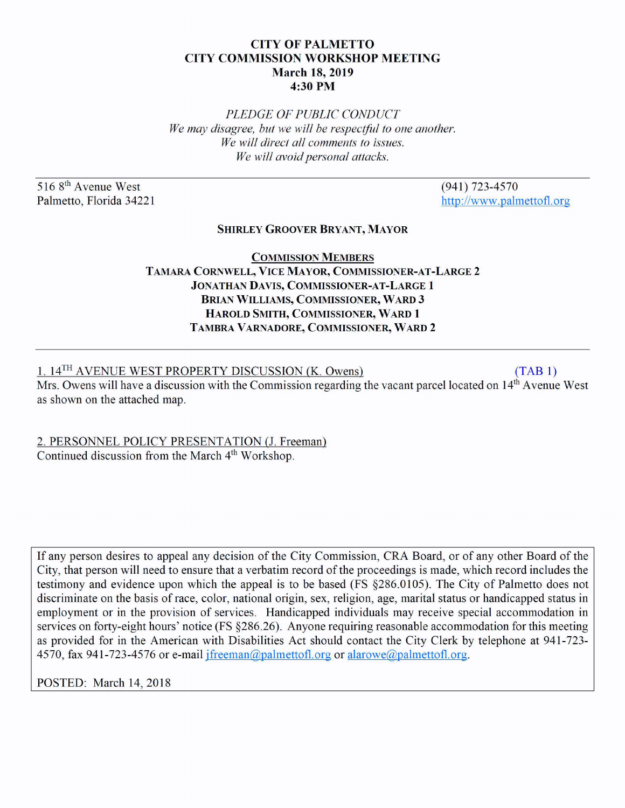## CITY OF PALMETTO CITY COMMISSION WORKSHOP MEETING March 18, 2019 4:30PM

*PLEDGE OF PUBLIC CONDUCT We may disagree, but we will be respectful to one another. We will direct all comments to issues. We will avoid personal attacks.* 

516 8<sup>th</sup> Avenue West Palmetto, Florida 34221

(941) 723-4570 http://www.palmettofl.org

## SHIRLEY GROOVER BRYANT, MAYOR

## COMMISSION MEMBERS TAMARA CORNWELL, VICE MAYOR, COMMISSIONER-AT-LARGE 2 JONATHAN DAVIS, COMMISSIONER-AT-LARGE 1 BRIAN WILLIAMS, COMMISSIONER, WARD 3 HAROLD SMITH, COMMISSIONER, WARD 1 TAMBRA VARNADORE, COMMISSIONER, WARD 2

1. 14<sup>TH</sup> AVENUE WEST PROPERTY DISCUSSION (K. Owens) (TAB 1)

Mrs. Owens will have a discussion with the Commission regarding the vacant parcel located on 14<sup>th</sup> Avenue West as shown on the attached map.

2. PERSONNEL POLICY PRESENTATION (J. Freeman) Continued discussion from the March 4<sup>th</sup> Workshop.

If any person desires to appeal any decision of the City Commission, CRA Board, or of any other Board of the City, that person will need to ensure that a verbatim record of the proceedings is made, which record includes the testimony and evidence upon which the appeal is to be based (FS §286.0105). The City of Palmetto does not discriminate on the basis of race, color, national origin, sex, religion, age, marital status or handicapped status in employment or in the provision of services. Handicapped individuals may receive special accommodation in services on forty-eight hours' notice (FS §286.26). Anyone requiring reasonable accommodation for this meeting as provided for in the American with Disabilities Act should contact the City Clerk by telephone at 941-723- 4570, fax 941-723-4576 or e-mail jfreeman@palmettofl.org or alarowe@palmettofl.org.

POSTED: March 14, 2018